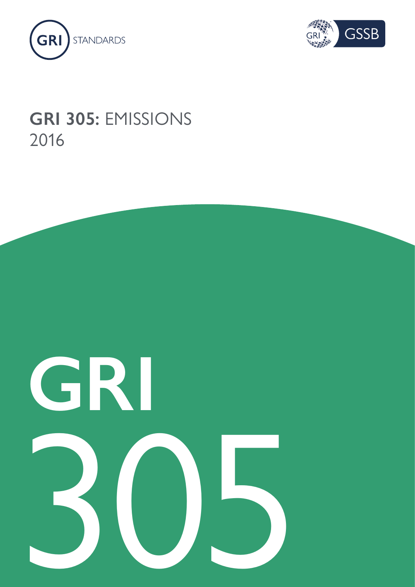



## **GRI 305:** EMISSIONS 2016

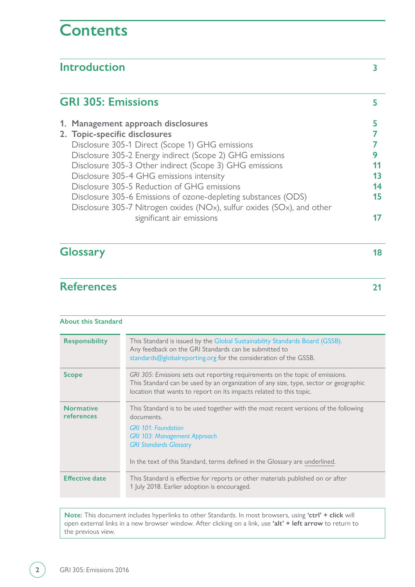## **Contents**

| 5       |
|---------|
| 5       |
|         |
|         |
| 9<br>11 |
| 13      |
| 14      |
| 15      |
| 17      |
| 18      |
| 21      |
|         |

#### **About this Standard**

| Responsibility                 | This Standard is issued by the Global Sustainability Standards Board (GSSB).<br>Any feedback on the GRI Standards can be submitted to<br>standards@globalreporting.org for the consideration of the GSSB.                                                                              |
|--------------------------------|----------------------------------------------------------------------------------------------------------------------------------------------------------------------------------------------------------------------------------------------------------------------------------------|
| <b>Scope</b>                   | GRI 305: Emissions sets out reporting requirements on the topic of emissions.<br>This Standard can be used by an organization of any size, type, sector or geographic<br>location that wants to report on its impacts related to this topic.                                           |
| <b>Normative</b><br>references | This Standard is to be used together with the most recent versions of the following<br>documents.<br><b>GRI 101: Foundation</b><br><b>GRI 103: Management Approach</b><br><b>GRI Standards Glossary</b><br>In the text of this Standard, terms defined in the Glossary are underlined. |
| <b>Effective date</b>          | This Standard is effective for reports or other materials published on or after<br>1 July 2018. Earlier adoption is encouraged.                                                                                                                                                        |

**Note:** This document includes hyperlinks to other Standards. In most browsers, using **'ctrl' + click** will open external links in a new browser window. After clicking on a link, use **'alt' + left arrow** to return to the previous view.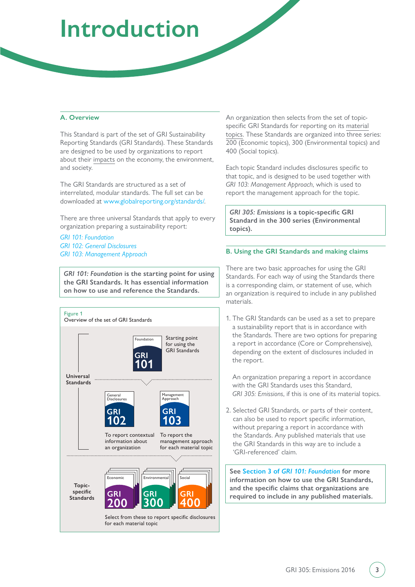# <span id="page-2-0"></span>**Introduction**

#### **A. Overview**

This Standard is part of the set of GRI Sustainability Reporting Standards (GRI Standards). These Standards are designed to be used by organizations to report about their [impacts](#page-18-0) on the economy, the environment, and society.

The GRI Standards are structured as a set of interrelated, modular standards. The full set can be downloaded at [www.globalreporting.org/standards/](https://www.globalreporting.org/standards/).

There are three universal Standards that apply to every organization preparing a sustainability report:

*[GRI 101: Foundation](https://www.globalreporting.org/standards/media/1036/gri-101-foundation-2016.pdf) [GRI 102: General Disclosures](https://www.globalreporting.org/standards/media/1037/gri-102-general-disclosures-2016.pdf) [GRI 103: Management Approach](https://www.globalreporting.org/standards/media/1038/gri-103-management-approach-2016.pdf)*

*GRI 101: Foundation* **is the starting point for using the GRI Standards. It has essential information on how to use and reference the Standards.** 



An organization then selects from the set of topicspecific GRI Standards for reporting on its [material](#page-18-1) [topics](#page-18-1). These Standards are organized into three series: 200 (Economic topics), 300 (Environmental topics) and 400 (Social topics).

Each topic Standard includes disclosures specific to that topic, and is designed to be used together with *GRI 103: Management Approach*, which is used to report the management approach for the topic.

*GRI 305: Emissions* **is a topic-specific GRI Standard in the 300 series (Environmental topics).**

#### **B. Using the GRI Standards and making claims**

There are two basic approaches for using the GRI Standards. For each way of using the Standards there is a corresponding claim, or statement of use, which an organization is required to include in any published materials.

1. The GRI Standards can be used as a set to prepare a sustainability report that is in accordance with the Standards. There are two options for preparing a report in accordance (Core or Comprehensive), depending on the extent of disclosures included in the report.

An organization preparing a report in accordance with the GRI Standards uses this Standard, *GRI 305: Emissions*, if this is one of its material topics.

2. Selected GRI Standards, or parts of their content, can also be used to report specific information, without preparing a report in accordance with the Standards. Any published materials that use the GRI Standards in this way are to include a 'GRI-referenced' claim.

**See Section 3 of** *[GRI 101: Foundation](https://www.globalreporting.org/standards/media/1036/gri-101-foundation-2016.pdf#page=21)* **for more information on how to use the GRI Standards, and the specific claims that organizations are required to include in any published materials.**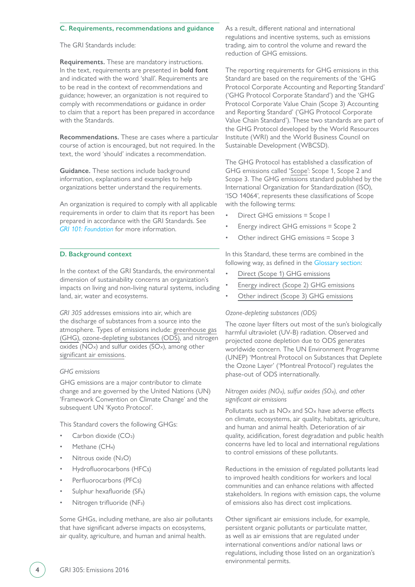#### **C. Requirements, recommendations and guidance**

The GRI Standards include:

**Requirements.** These are mandatory instructions. In the text, requirements are presented in **bold font** and indicated with the word 'shall'. Requirements are to be read in the context of recommendations and guidance; however, an organization is not required to comply with recommendations or guidance in order to claim that a report has been prepared in accordance with the Standards.

**Recommendations.** These are cases where a particular course of action is encouraged, but not required. In the text, the word 'should' indicates a recommendation.

**Guidance.** These sections include background information, explanations and examples to help organizations better understand the requirements.

An organization is required to comply with all applicable requirements in order to claim that its report has been prepared in accordance with the GRI Standards. See *[GRI 101: Foundation](https://www.globalreporting.org/standards/media/1036/gri-101-foundation-2016.pdf#page=21)* for more information.

#### **D. Background context**

In the context of the GRI Standards, the environmental dimension of sustainability concerns an organization's impacts on living and non-living natural systems, including land, air, water and ecosystems.

*GRI 305* addresses emissions into air, which are the discharge of substances from a source into the atmosphere. Types of emissions include: [greenhouse gas](#page-18-2) (GHG), [ozone-depleting substances \(ODS\)](#page-18-3), and nitrogen  $\overline{\text{oxides}}$  ( $\overline{\text{NOx}}$ ) and sulfur oxides ( $\overline{\text{SOx}}$ ), among other [significant air emissions.](#page-19-0)

#### *GHG emissions*

GHG emissions are a major contributor to climate change and are governed by the United Nations (UN) 'Framework Convention on Climate Change' and the subsequent UN 'Kyoto Protocol'.

This Standard covers the following GHGs:

- Carbon dioxide (CO<sub>2</sub>)
- Methane (CH<sub>4</sub>)
- Nitrous oxide (N<sub>2</sub>O)
- Hydrofluorocarbons (HFCs)
- Perfluorocarbons (PFCs)
- Sulphur hexafluoride (SF<sub>6</sub>)
- Nitrogen trifluoride (NF3)

Some GHGs, including methane, are also air pollutants that have significant adverse impacts on ecosystems, air quality, agriculture, and human and animal health.

As a result, different national and international regulations and incentive systems, such as emissions trading, aim to control the volume and reward the reduction of GHG emissions.

The reporting requirements for GHG emissions in this Standard are based on the requirements of the 'GHG Protocol Corporate Accounting and Reporting Standard' ('GHG Protocol Corporate Standard') and the 'GHG Protocol Corporate Value Chain (Scope 3) Accounting and Reporting Standard' ('GHG Protocol Corporate Value Chain Standard'). These two standards are part of the GHG Protocol developed by the World Resources Institute (WRI) and the World Business Council on Sustainable Development (WBCSD).

The GHG Protocol has established a classification of GHG emissions called '[Scope](#page-19-1)': Scope 1, Scope 2 and Scope 3. The GHG emissions standard published by the International Organization for Standardization (ISO), 'ISO 14064', represents these classifications of Scope with the following terms:

- Direct GHG emissions = Scope I
- Energy indirect GHG emissions = Scope 2
- Other indirect GHG emissions = Scope 3

In this Standard, these terms are combined in the following way, as defined in the [Glossary section](#page-17-0):

- [Direct \(Scope 1\) GHG emissions](#page-17-1)
- [Energy indirect \(Scope 2\) GHG emissions](#page-17-2)
- [Other indirect \(Scope 3\) GHG emissions](#page-18-4)

#### *Ozone-depleting substances (ODS)*

The ozone layer filters out most of the sun's biologically harmful ultraviolet (UV-B) radiation. Observed and projected ozone depletion due to ODS generates worldwide concern. The UN Environment Programme (UNEP) 'Montreal Protocol on Substances that Deplete the Ozone Layer' ('Montreal Protocol') regulates the phase-out of ODS internationally.

#### *Nitrogen oxides (NOX), sulfur oxides (SOX), and other significant air emissions*

Pollutants such as  $NOx$  and  $SOx$  have adverse effects on climate, ecosystems, air quality, habitats, agriculture, and human and animal health. Deterioration of air quality, acidification, forest degradation and public health concerns have led to local and international regulations to control emissions of these pollutants.

Reductions in the emission of regulated pollutants lead to improved health conditions for workers and local communities and can enhance relations with affected stakeholders. In regions with emission caps, the volume of emissions also has direct cost implications.

Other significant air emissions include, for example, persistent organic pollutants or particulate matter, as well as air emissions that are regulated under international conventions and/or national laws or regulations, including those listed on an organization's environmental permits.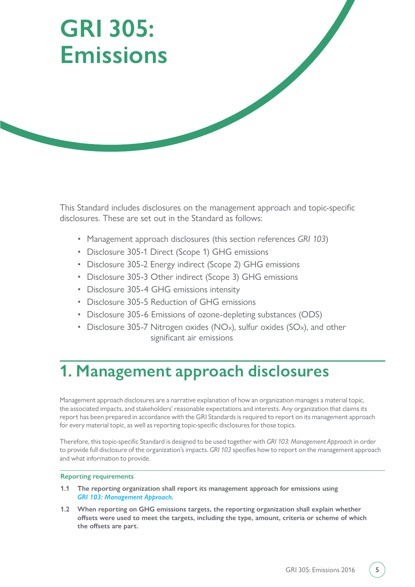# <span id="page-4-0"></span>**GRI 305: Emissions**

This Standard includes disclosures on the management approach and topic-specific disclosures. These are set out in the Standard as follows:

- Management approach disclosures (this section references *GRI 103*)
- Disclosure 305-1 Direct (Scope 1) GHG emissions
- Disclosure 305-2 Energy indirect (Scope 2) GHG emissions
- Disclosure 305-3 Other indirect (Scope 3) GHG emissions
- Disclosure 305-4 GHG emissions intensity
- Disclosure 305-5 Reduction of GHG emissions
- Disclosure 305-6 Emissions of ozone-depleting substances (ODS)
- Disclosure 305-7 Nitrogen oxides (NO<sub>x</sub>), sulfur oxides (SO<sub>x</sub>), and other significant air emissions

## **1. Management approach disclosures**

Management approach disclosures are a narrative explanation of how an organization manages a material topic, the associated impacts, and stakeholders' reasonable expectations and interests. Any organization that claims its report has been prepared in accordance with the GRI Standards is required to report on its management approach for every material topic, as well as reporting topic-specific disclosures for those topics.

Therefore, this topic-specific Standard is designed to be used together with *GRI 103: Management Approach* in order to provide full disclosure of the organization's impacts. *GRI 103* specifies how to report on the management approach and what information to provide.

#### **Reporting requirements**

- **1.1 The reporting organization shall report its management approach for emissions using**  *[GRI 103: Management Approach](https://www.globalreporting.org/standards/media/1038/gri-103-management-approach-2016.pdf)***.**
- **1.2 When reporting on GHG emissions targets, the reporting organization shall explain whether offsets were used to meet the targets, including the type, amount, criteria or scheme of which the offsets are part.**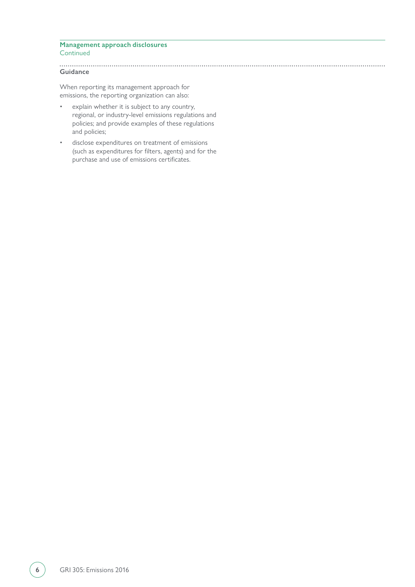#### **Management approach disclosures Continued**

**Guidance**

When reporting its management approach for emissions, the reporting organization can also:

- explain whether it is subject to any country, regional, or industry-level emissions regulations and policies; and provide examples of these regulations and policies;
- disclose expenditures on treatment of emissions (such as expenditures for filters, agents) and for the purchase and use of emissions certificates.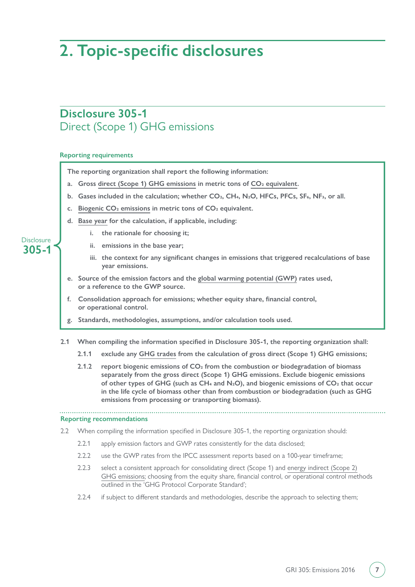## <span id="page-6-0"></span>**2. Topic-specific disclosures**

### **Disclosure 305-1** Direct (Scope 1) GHG emissions

#### **Reporting requirements**

**The reporting organization shall report the following information:**

- a. Gross [direct \(Scope 1\) GHG emissions](#page-17-1) in metric tons of CO<sub>2</sub> equivalent.
- b. Gases included in the calculation; whether CO<sub>2</sub>, CH<sub>4</sub>, N<sub>2</sub>O, HFCs, PFCs, SF<sub>6</sub>, NF<sub>3</sub>, or all.
- **c. [Biogenic CO2 emissions](#page-17-4) in metric tons of CO2 equivalent.**
- **d. [Base year](#page-17-5) for the calculation, if applicable, including:** 
	- **i. the rationale for choosing it;**
	- **ii. emissions in the base year;**
	- **iii. the context for any significant changes in emissions that triggered recalculations of base year emissions.**
- **e. Source of the emission factors and the [global warming potential \(GWP\)](#page-17-6) rates used, or a reference to the GWP source.**
- **f. Consolidation approach for emissions; whether equity share, financial control, or operational control.**
- **g. Standards, methodologies, assumptions, and/or calculation tools used.**
- **2.1 When compiling the information specified in Disclosure 305-1, the reporting organization shall:**
	- **2.1.1 exclude any [GHG trades](#page-18-5) from the calculation of gross direct (Scope 1) GHG emissions;**
	- **2.1.2 report biogenic emissions of CO2 from the combustion or biodegradation of biomass separately from the gross direct (Scope 1) GHG emissions. Exclude biogenic emissions**  of other types of GHG (such as CH<sub>4</sub> and N<sub>2</sub>O), and biogenic emissions of CO<sub>2</sub> that occur **in the life cycle of biomass other than from combustion or biodegradation (such as GHG emissions from processing or transporting biomass).**

#### **Reporting recommendations**

- 2.2 When compiling the information specified in Disclosure 305-1, the reporting organization should:
	- 2.2.1 apply emission factors and GWP rates consistently for the data disclosed;
	- 2.2.2 use the GWP rates from the IPCC assessment reports based on a 100-year timeframe:
	- 2.2.3 select a consistent approach for consolidating direct (Scope 1) and [energy indirect \(Scope 2\)](#page-17-2) [GHG emissions](#page-17-2); choosing from the equity share, financial control, or operational control methods outlined in the 'GHG Protocol Corporate Standard';
	- 2.2.4 if subject to different standards and methodologies, describe the approach to selecting them;

#### **305-1 Disclosure**

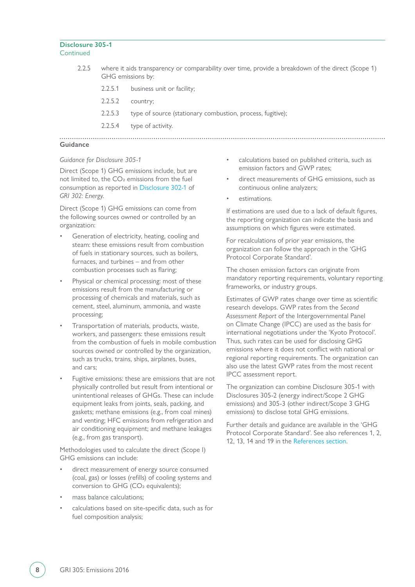#### **Disclosure 305-1** Continued

| 2.2.5            |         | where it aids transparency or comparability over time, provide a breakdown of the direct (Scope 1)<br>GHG emissions by: |
|------------------|---------|-------------------------------------------------------------------------------------------------------------------------|
|                  |         | 2.2.5.1 business unit or facility;                                                                                      |
|                  | 2.2.5.2 | country;                                                                                                                |
|                  | 2.2.5.3 | type of source (stationary combustion, process, fugitive);                                                              |
|                  | 2.2.5.4 | type of activity.                                                                                                       |
| $\sum_{i=1}^{n}$ |         |                                                                                                                         |

#### **Guidance**

#### *Guidance for Disclosure 305-1*

Direct (Scope 1) GHG emissions include, but are not limited to, the CO<sub>2</sub> emissions from the fuel consumption as reported in [Disclosure 302-1](https://www.globalreporting.org/standards/media/1009/gri-302-energy-2016.pdf#page=6) of *GRI 302: Energy*.

Direct (Scope 1) GHG emissions can come from the following sources owned or controlled by an organization:

- Generation of electricity, heating, cooling and steam: these emissions result from combustion of fuels in stationary sources, such as boilers, furnaces, and turbines – and from other combustion processes such as flaring;
- Physical or chemical processing: most of these emissions result from the manufacturing or processing of chemicals and materials, such as cement, steel, aluminum, ammonia, and waste processing;
- Transportation of materials, products, waste, workers, and passengers: these emissions result from the combustion of fuels in mobile combustion sources owned or controlled by the organization, such as trucks, trains, ships, airplanes, buses, and cars;
- Fugitive emissions: these are emissions that are not physically controlled but result from intentional or unintentional releases of GHGs. These can include equipment leaks from joints, seals, packing, and gaskets; methane emissions (e.g., from coal mines) and venting; HFC emissions from refrigeration and air conditioning equipment; and methane leakages (e.g., from gas transport).

Methodologies used to calculate the direct (Scope I) GHG emissions can include:

- direct measurement of energy source consumed (coal, gas) or losses (refills) of cooling systems and conversion to GHG (CO<sub>2</sub> equivalents);
- mass balance calculations;
- calculations based on site-specific data, such as for fuel composition analysis;
- calculations based on published criteria, such as emission factors and GWP rates;
- direct measurements of GHG emissions, such as continuous online analyzers;
- estimations.

If estimations are used due to a lack of default figures, the reporting organization can indicate the basis and assumptions on which figures were estimated.

For recalculations of prior year emissions, the organization can follow the approach in the 'GHG Protocol Corporate Standard'.

The chosen emission factors can originate from mandatory reporting requirements, voluntary reporting frameworks, or industry groups.

Estimates of GWP rates change over time as scientific research develops. GWP rates from the *Second Assessment Report* of the Intergovernmental Panel on Climate Change (IPCC) are used as the basis for international negotiations under the 'Kyoto Protocol'. Thus, such rates can be used for disclosing GHG emissions where it does not conflict with national or regional reporting requirements. The organization can also use the latest GWP rates from the most recent IPCC assessment report.

The organization can combine Disclosure 305-1 with Disclosures 305-2 (energy indirect/Scope 2 GHG emissions) and 305-3 (other indirect/Scope 3 GHG emissions) to disclose total GHG emissions.

Further details and guidance are available in the 'GHG Protocol Corporate Standard'. See also references 1, 2, 12, 13, 14 and 19 in the [References section.](#page-20-0)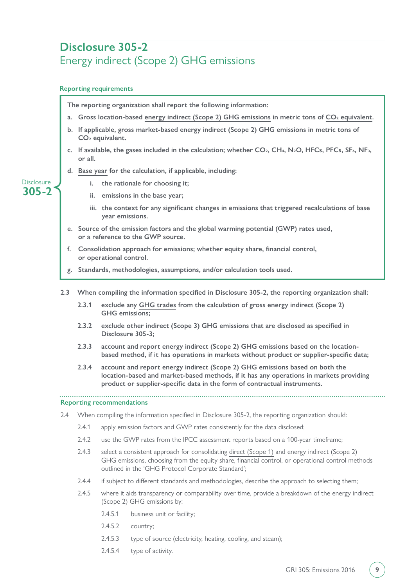## <span id="page-8-0"></span>**Disclosure 305-2** Energy indirect (Scope 2) GHG emissions

#### **Reporting requirements**

**Reporting recommendations** 2.4 When compiling the information specified in Disclosure 305-2, the reporting organization should: 2.4.1 apply emission factors and GWP rates consistently for the data disclosed; 2.4.2 use the GWP rates from the IPCC assessment reports based on a 100-year timeframe; 2.4.3 select a consistent approach for consolidating [direct \(Scope 1\)](#page-17-1) and energy indirect (Scope 2) GHG emissions, choosing from the equity share, financial control, or operational control methods outlined in the 'GHG Protocol Corporate Standard'; 2.4.4 if subject to different standards and methodologies, describe the approach to selecting them; 2.4.5 where it aids transparency or comparability over time, provide a breakdown of the energy indirect (Scope 2) GHG emissions by: 2.4.5.1 business unit or facility; 2.4.5.2 country; 2.4.5.3 type of source (electricity, heating, cooling, and steam); **2.3 When compiling the information specified in Disclosure 305-2, the reporting organization shall: 2.3.1 exclude any [GHG trades](#page-18-5) from the calculation of gross energy indirect (Scope 2) GHG emissions; 2.3.2 exclude other indirect [\(Scope 3\) GHG emissions](#page-18-4) that are disclosed as specified in Disclosure 305-3; 2.3.3 account and report energy indirect (Scope 2) GHG emissions based on the locationbased method, if it has operations in markets without product or supplier-specific data; 2.3.4 account and report energy indirect (Scope 2) GHG emissions based on both the location-based and market-based methods, if it has any operations in markets providing product or supplier-specific data in the form of contractual instruments. 305-2 Disclosure The reporting organization shall report the following information:** a. Gross location-based [energy indirect \(Scope 2\) GHG emissions](#page-17-2) in metric tons of CO<sub>2</sub> equivalent. **b. If applicable, gross market-based energy indirect (Scope 2) GHG emissions in metric tons of CO2 equivalent.** c. If available, the gases included in the calculation; whether  $CO<sub>2</sub>$ ,  $CH<sub>4</sub>$ ,  $N<sub>2</sub>O$ ,  $HFCs$ ,  $PFCs$ ,  $SF<sub>6</sub>$ ,  $NF<sub>3</sub>$ , **or all. d. [Base year](#page-17-5) for the calculation, if applicable, including: i. the rationale for choosing it; ii. emissions in the base year; iii. the context for any significant changes in emissions that triggered recalculations of base year emissions. e. Source of the emission factors and the [global warming potential \(GWP\)](#page-17-6) rates used, or a reference to the GWP source. f. Consolidation approach for emissions; whether equity share, financial control, or operational control. g. Standards, methodologies, assumptions, and/or calculation tools used.**

2.4.5.4 type of activity.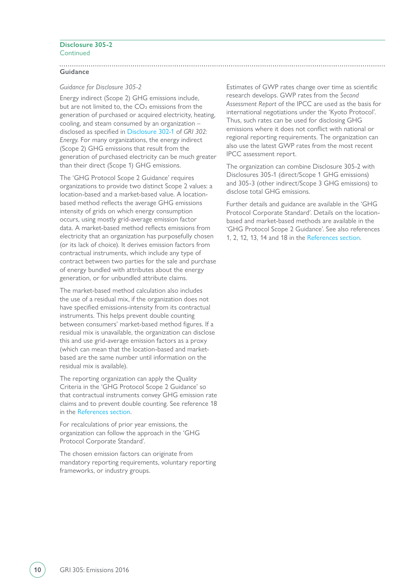#### **Disclosure 305-2** Continued

**Guidance**

#### *Guidance for Disclosure 305-2*

Energy indirect (Scope 2) GHG emissions include, but are not limited to, the  $CO<sub>2</sub>$  emissions from the generation of purchased or acquired electricity, heating, cooling, and steam consumed by an organization – disclosed as specified in [Disclosure 302-1](https://www.globalreporting.org/standards/media/1009/gri-302-energy-2016.pdf#page=6) of *GRI 302: Energy*. For many organizations, the energy indirect (Scope 2) GHG emissions that result from the generation of purchased electricity can be much greater than their direct (Scope 1) GHG emissions.

The 'GHG Protocol Scope 2 Guidance' requires organizations to provide two distinct Scope 2 values: a location-based and a market-based value. A locationbased method reflects the average GHG emissions intensity of grids on which energy consumption occurs, using mostly grid-average emission factor data. A market-based method reflects emissions from electricity that an organization has purposefully chosen (or its lack of choice). It derives emission factors from contractual instruments, which include any type of contract between two parties for the sale and purchase of energy bundled with attributes about the energy generation, or for unbundled attribute claims.

The market-based method calculation also includes the use of a residual mix, if the organization does not have specified emissions-intensity from its contractual instruments. This helps prevent double counting between consumers' market-based method figures. If a residual mix is unavailable, the organization can disclose this and use grid-average emission factors as a proxy (which can mean that the location-based and marketbased are the same number until information on the residual mix is available).

The reporting organization can apply the Quality Criteria in the 'GHG Protocol Scope 2 Guidance' so that contractual instruments convey GHG emission rate claims and to prevent double counting. See reference 18 in the [References section](#page-20-0).

For recalculations of prior year emissions, the organization can follow the approach in the 'GHG Protocol Corporate Standard'.

The chosen emission factors can originate from mandatory reporting requirements, voluntary reporting frameworks, or industry groups.

Estimates of GWP rates change over time as scientific research develops. GWP rates from the *Second Assessment Report* of the IPCC are used as the basis for international negotiations under the 'Kyoto Protocol'. Thus, such rates can be used for disclosing GHG emissions where it does not conflict with national or regional reporting requirements. The organization can also use the latest GWP rates from the most recent IPCC assessment report.

The organization can combine Disclosure 305-2 with Disclosures 305-1 (direct/Scope 1 GHG emissions) and 305-3 (other indirect/Scope 3 GHG emissions) to disclose total GHG emissions.

Further details and guidance are available in the 'GHG Protocol Corporate Standard'. Details on the locationbased and market-based methods are available in the 'GHG Protocol Scope 2 Guidance'. See also references 1, 2, 12, 13, 14 and 18 in the [References section.](#page-20-0)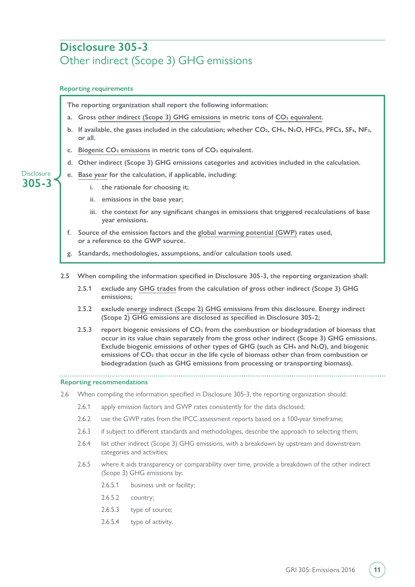## <span id="page-10-0"></span>**Disclosure 305-3** Other indirect (Scope 3) GHG emissions

#### **Reporting requirements**

**305-3 Disclosure**  **The reporting organization shall report the following information:**

- a. Gross [other indirect \(Scope 3\) GHG emissions](#page-18-4) in metric tons of CO<sub>2</sub> equivalent.
- b. If available, the gases included in the calculation; whether CO<sub>2</sub>, CH<sub>4</sub>, N<sub>2</sub>O, HFCs, PFCs, SF<sub>6</sub>, NF<sub>3</sub>, **or all.**
- **c. [Biogenic CO2 emissions](#page-17-4) in metric tons of CO2 equivalent.**
- **d. Other indirect (Scope 3) GHG emissions categories and activities included in the calculation.**
- **e. [Base year](#page-17-5) for the calculation, if applicable, including:** 
	- **i. the rationale for choosing it;**
	- **ii. emissions in the base year;**
	- **iii. the context for any significant changes in emissions that triggered recalculations of base year emissions.**
- **f. Source of the emission factors and the [global warming potential \(GWP\)](#page-17-6) rates used, or a reference to the GWP source.**
- **g. Standards, methodologies, assumptions, and/or calculation tools used.**
- **2.5 When compiling the information specified in Disclosure 305-3, the reporting organization shall:**
	- **2.5.1 exclude any [GHG trades](#page-18-5) from the calculation of gross other indirect (Scope 3) GHG emissions;**
	- **2.5.2 exclude [energy indirect \(Scope 2\) GHG emissions](#page-17-2) from this disclosure. Energy indirect (Scope 2) GHG emissions are disclosed as specified in Disclosure 305-2;**
	- **2.5.3 report biogenic emissions of CO2 from the combustion or biodegradation of biomass that occur in its value chain separately from the gross other indirect (Scope 3) GHG emissions. Exclude biogenic emissions of other types of GHG (such as CH4 and N2O), and biogenic emissions of CO2 that occur in the life cycle of biomass other than from combustion or biodegradation (such as GHG emissions from processing or transporting biomass).**

#### **Reporting recommendations**

- 2.6 When compiling the information specified in Disclosure 305-3, the reporting organization should:
	- 2.6.1 apply emission factors and GWP rates consistently for the data disclosed;
	- 2.6.2 use the GWP rates from the IPCC assessment reports based on a 100-year timeframe;
	- 2.6.3 if subject to different standards and methodologies, describe the approach to selecting them;
	- 2.6.4 list other indirect (Scope 3) GHG emissions, with a breakdown by upstream and downstream categories and activities;
	- 2.6.5 where it aids transparency or comparability over time, provide a breakdown of the other indirect (Scope 3) GHG emissions by:
		- 2.6.5.1 business unit or facility;
		- 2.6.5.2 country;
		- 2.6.5.3 type of source;
		- 2.6.5.4 type of activity.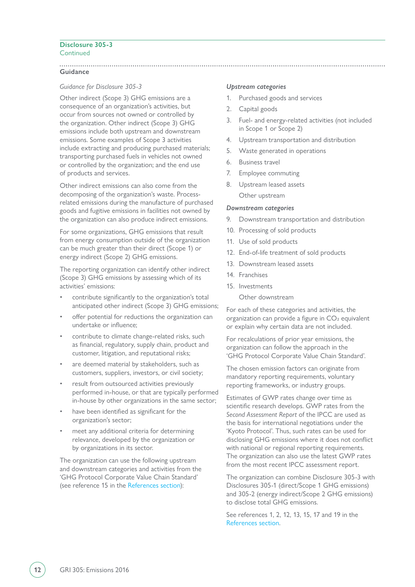#### **Disclosure 305-3 Continued**

#### **Guidance**

#### *Guidance for Disclosure 305-3*

Other indirect (Scope 3) GHG emissions are a consequence of an organization's activities, but occur from sources not owned or controlled by the organization. Other indirect (Scope 3) GHG emissions include both upstream and downstream emissions. Some examples of Scope 3 activities include extracting and producing purchased materials; transporting purchased fuels in vehicles not owned or controlled by the organization; and the end use of products and services.

Other indirect emissions can also come from the decomposing of the organization's waste. Processrelated emissions during the manufacture of purchased goods and fugitive emissions in facilities not owned by the organization can also produce indirect emissions.

For some organizations, GHG emissions that result from energy consumption outside of the organization can be much greater than their direct (Scope 1) or energy indirect (Scope 2) GHG emissions.

The reporting organization can identify other indirect (Scope 3) GHG emissions by assessing which of its activities' emissions:

- contribute significantly to the organization's total anticipated other indirect (Scope 3) GHG emissions;
- offer potential for reductions the organization can undertake or influence;
- contribute to climate change-related risks, such as financial, regulatory, supply chain, product and customer, litigation, and reputational risks;
- are deemed material by stakeholders, such as customers, suppliers, investors, or civil society;
- result from outsourced activities previously performed in-house, or that are typically performed in-house by other organizations in the same sector;
- have been identified as significant for the organization's sector;
- meet any additional criteria for determining relevance, developed by the organization or by organizations in its sector.

The organization can use the following upstream and downstream categories and activities from the 'GHG Protocol Corporate Value Chain Standard' (see reference 15 in the [References section\)](#page-20-0):

#### *Upstream categories*

- 1. Purchased goods and services
- 2. Capital goods
- 3. Fuel- and energy-related activities (not included in Scope 1 or Scope 2)
- 4. Upstream transportation and distribution
- 5. Waste generated in operations
- 6. Business travel
- 7. Employee commuting
- 8. Upstream leased assets Other upstream

#### *Downstream categories*

- 9. Downstream transportation and distribution
- 10. Processing of sold products
- 11. Use of sold products
- 12. End-of-life treatment of sold products
- 13. Downstream leased assets
- 14. Franchises
- 15. Investments
	- Other downstream

For each of these categories and activities, the organization can provide a figure in  $CO<sub>2</sub>$  equivalent or explain why certain data are not included.

For recalculations of prior year emissions, the organization can follow the approach in the 'GHG Protocol Corporate Value Chain Standard'.

The chosen emission factors can originate from mandatory reporting requirements, voluntary reporting frameworks, or industry groups.

Estimates of GWP rates change over time as scientific research develops. GWP rates from the *Second Assessment Report* of the IPCC are used as the basis for international negotiations under the 'Kyoto Protocol'. Thus, such rates can be used for disclosing GHG emissions where it does not conflict with national or regional reporting requirements. The organization can also use the latest GWP rates from the most recent IPCC assessment report.

The organization can combine Disclosure 305-3 with Disclosures 305-1 (direct/Scope 1 GHG emissions) and 305-2 (energy indirect/Scope 2 GHG emissions) to disclose total GHG emissions.

See references 1, 2, 12, 13, 15, 17 and 19 in the [References section.](#page-20-0)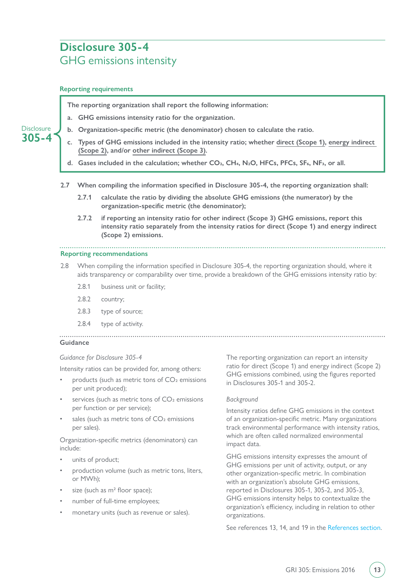## <span id="page-12-0"></span>**Disclosure 305-4** GHG emissions intensity

#### **Reporting requirements**

**305-4 Disclosure**  **The reporting organization shall report the following information:**

- **a. GHG emissions intensity ratio for the organization.**
- **b. Organization-specific metric (the denominator) chosen to calculate the ratio.**
	- **c. Types of GHG emissions included in the intensity ratio; whether [direct \(Scope 1\)](#page-17-1), [energy indirect](#page-17-2)  [\(Scope 2\)](#page-17-2), and/or [other indirect \(Scope 3\)](#page-18-4).**
	- d. Gases included in the calculation; whether CO<sub>2</sub>, CH<sub>4</sub>, N<sub>2</sub>O, HFCs, PFCs, SF<sub>6</sub>, NF<sub>3</sub>, or all.
- **2.7 When compiling the information specified in Disclosure 305-4, the reporting organization shall:**
	- **2.7.1 calculate the ratio by dividing the absolute GHG emissions (the numerator) by the organization-specific metric (the denominator);**
	- **2.7.2 if reporting an intensity ratio for other indirect (Scope 3) GHG emissions, report this intensity ratio separately from the intensity ratios for direct (Scope 1) and energy indirect (Scope 2) emissions.**

#### **Reporting recommendations**

- 2.8 When compiling the information specified in Disclosure 305-4, the reporting organization should, where it aids transparency or comparability over time, provide a breakdown of the GHG emissions intensity ratio by:
	- 2.8.1 business unit or facility;
	- 2.8.2 country;
	- 2.8.3 type of source;
	- 2.8.4 type of activity.

#### **Guidance**

#### *Guidance for Disclosure 305-4*

Intensity ratios can be provided for, among others:

- products (such as metric tons of  $CO<sub>2</sub>$  emissions per unit produced);
- services (such as metric tons of  $CO<sub>2</sub>$  emissions per function or per service);
- sales (such as metric tons of  $CO<sub>2</sub>$  emissions per sales).

Organization-specific metrics (denominators) can include:

- units of product;
- production volume (such as metric tons, liters, or MWh);
- size (such as  $m<sup>2</sup>$  floor space);
- number of full-time employees:
- monetary units (such as revenue or sales).

The reporting organization can report an intensity ratio for direct (Scope 1) and energy indirect (Scope 2) GHG emissions combined, using the figures reported in Disclosures 305-1 and 305-2.

#### *Background*

Intensity ratios define GHG emissions in the context of an organization-specific metric. Many organizations track environmental performance with intensity ratios, which are often called normalized environmental impact data.

GHG emissions intensity expresses the amount of GHG emissions per unit of activity, output, or any other organization-specific metric. In combination with an organization's absolute GHG emissions, reported in Disclosures 305-1, 305-2, and 305-3, GHG emissions intensity helps to contextualize the organization's efficiency, including in relation to other organizations.

See references 13, 14, and 19 in the [References section](#page-20-0).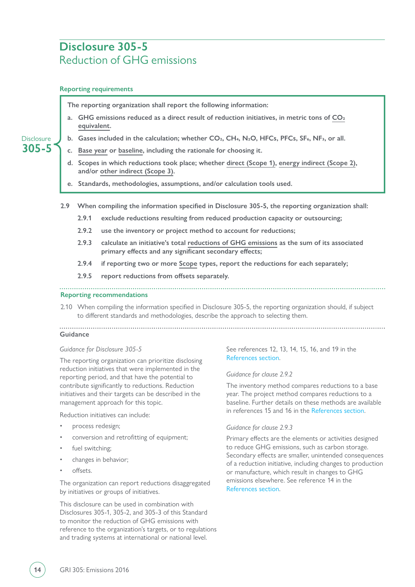## <span id="page-13-0"></span>**Disclosure 305-5** Reduction of GHG emissions

#### **Reporting requirements**

**305-5 Disclosure**  **The reporting organization shall report the following information:**

- a. GHG emissions reduced as a direct result of reduction initiatives, in metric tons of CO<sub>2</sub> **[equivalent](#page-17-3).**
- b. Gases included in the calculation; whether CO<sub>2</sub>, CH<sub>4</sub>, N<sub>2</sub>O, HFCs, PFCs, SF<sub>6</sub>, NF<sub>3</sub>, or all.
- **c. [Base year](#page-17-5) or [baseline,](#page-17-7) including the rationale for choosing it.**
- **d. Scopes in which reductions took place; whether [direct \(Scope 1\),](#page-17-1) [energy indirect \(Scope 2\)](#page-17-2), and/or [other indirect \(Scope 3\).](#page-18-4)**
- **e. Standards, methodologies, assumptions, and/or calculation tools used.**
- **2.9 When compiling the information specified in Disclosure 305-5, the reporting organization shall:**
	- **2.9.1 exclude reductions resulting from reduced production capacity or outsourcing;**
	- **2.9.2 use the inventory or project method to account for reductions;**
	- **2.9.3 calculate an initiative's total [reductions of GHG emissions](#page-18-6) as the sum of its associated primary effects and any significant secondary effects;**
	- **2.9.4 if reporting two or more [Scope](#page-19-1) types, report the reductions for each separately;**
	- **2.9.5 report reductions from offsets separately.**

#### **Reporting recommendations**

2.10 When compiling the information specified in Disclosure 305-5, the reporting organization should, if subject to different standards and methodologies, describe the approach to selecting them.

#### **Guidance**

#### *Guidance for Disclosure 305-5*

The reporting organization can prioritize disclosing reduction initiatives that were implemented in the reporting period, and that have the potential to contribute significantly to reductions. Reduction initiatives and their targets can be described in the management approach for this topic.

Reduction initiatives can include:

- process redesign;
- conversion and retrofitting of equipment;
- fuel switching;
- changes in behavior;
- offsets.

The organization can report reductions disaggregated by initiatives or groups of initiatives.

This disclosure can be used in combination with Disclosures 305-1, 305-2, and 305-3 of this Standard to monitor the reduction of GHG emissions with reference to the organization's targets, or to regulations and trading systems at international or national level.

#### See references 12, 13, 14, 15, 16, and 19 in the [References section.](#page-20-0)

#### *Guidance for clause 2.9.2*

The inventory method compares reductions to a base year. The project method compares reductions to a baseline. Further details on these methods are available in references 15 and 16 in the [References section.](#page-20-0)

#### *Guidance for clause 2.9.3*

Primary effects are the elements or activities designed to reduce GHG emissions, such as carbon storage. Secondary effects are smaller, unintended consequences of a reduction initiative, including changes to production or manufacture, which result in changes to GHG emissions elsewhere. See reference 14 in the [References section.](#page-20-0)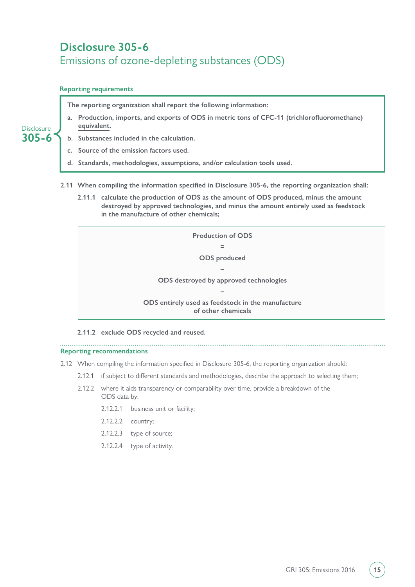## <span id="page-14-0"></span>**Disclosure 305-6** Emissions of ozone-depleting substances (ODS)

#### **Reporting requirements**

**The reporting organization shall report the following information:**

**a. Production, imports, and exports of [ODS](#page-18-3) in metric tons of [CFC-11 \(trichlorofluoromethane\)](#page-17-8) [equivalent](#page-17-8).**

#### **305-6 Disclosure**

- **b. Substances included in the calculation.**
- **c. Source of the emission factors used.**
- **d. Standards, methodologies, assumptions, and/or calculation tools used.**
- **2.11 When compiling the information specified in Disclosure 305-6, the reporting organization shall:**
	- **2.11.1 calculate the production of ODS as the amount of ODS produced, minus the amount destroyed by approved technologies, and minus the amount entirely used as feedstock in the manufacture of other chemicals;**



**2.11.2 exclude ODS recycled and reused.**

**Reporting recommendations**

2.12 When compiling the information specified in Disclosure 305-6, the reporting organization should:

- 2.12.1 if subject to different standards and methodologies, describe the approach to selecting them;
- 2.12.2 where it aids transparency or comparability over time, provide a breakdown of the ODS data by:
	- 2.12.2.1 business unit or facility;
	- 2.12.2.2 country;
	- 2.12.2.3 type of source;
	- 2.12.2.4 type of activity.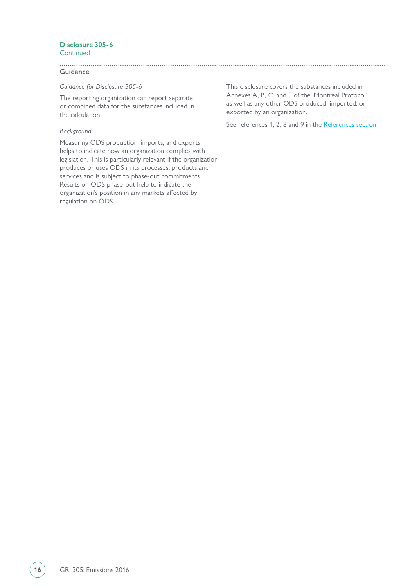#### **Disclosure 305-6 Continued**

**Guidance**

*Guidance for Disclosure 305-6*

The reporting organization can report separate or combined data for the substances included in the calculation.

#### *Background*

Measuring ODS production, imports, and exports helps to indicate how an organization complies with legislation. This is particularly relevant if the organization produces or uses ODS in its processes, products and services and is subject to phase-out commitments. Results on ODS phase-out help to indicate the organization's position in any markets affected by regulation on ODS.

This disclosure covers the substances included in Annexes A, B, C, and E of the 'Montreal Protocol' as well as any other ODS produced, imported, or exported by an organization.

See references 1, 2, 8 and 9 in the [References section](#page-20-0).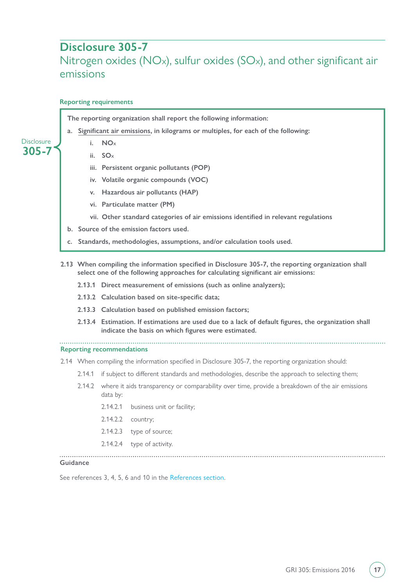### <span id="page-16-0"></span>**Disclosure 305-7**

## Nitrogen oxides (NO<sub>x</sub>), sulfur oxides (SO<sub>x</sub>), and other significant air emissions

#### **Reporting requirements**

**The reporting organization shall report the following information:**

- **a. [Significant air emissions,](#page-19-0) in kilograms or multiples, for each of the following:**
	- **i. NOX**
	- **ii. SOX**

**305-7 Disclosure** 

- **iii. Persistent organic pollutants (POP)**
- **iv. Volatile organic compounds (VOC)**
- **v. Hazardous air pollutants (HAP)**
- **vi. Particulate matter (PM)**
- **vii. Other standard categories of air emissions identified in relevant regulations**
- **b. Source of the emission factors used.**
- **c. Standards, methodologies, assumptions, and/or calculation tools used.**
- **2.13 When compiling the information specified in Disclosure 305-7, the reporting organization shall select one of the following approaches for calculating significant air emissions:**
	- **2.13.1 Direct measurement of emissions (such as online analyzers);**
	- **2.13.2 Calculation based on site-specific data;**
	- **2.13.3 Calculation based on published emission factors;**
	- **2.13.4 Estimation. If estimations are used due to a lack of default figures, the organization shall indicate the basis on which figures were estimated.**

**Reporting recommendations**

- 2.14 When compiling the information specified in Disclosure 305-7, the reporting organization should:
	- 2.14.1 if subject to different standards and methodologies, describe the approach to selecting them;
	- 2.14.2 where it aids transparency or comparability over time, provide a breakdown of the air emissions data by:
		- 2.14.2.1 business unit or facility;
		- 2.14.2.2 country;
		- 2.14.2.3 type of source;
		- 2.14.2.4 type of activity.

#### **Guidance**

See references 3, 4, 5, 6 and 10 in the [References section.](#page-20-0)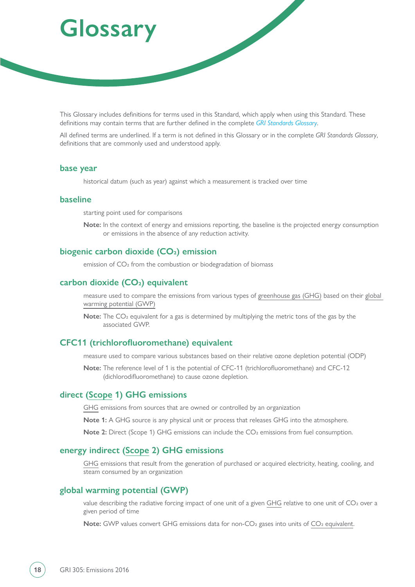# <span id="page-17-0"></span>**Glossary**

This Glossary includes definitions for terms used in this Standard, which apply when using this Standard. These definitions may contain terms that are further defined in the complete *[GRI Standards Glossary](https://www.globalreporting.org/standards/media/1913/gri-standards-glossary.pdf)*.

All defined terms are underlined. If a term is not defined in this Glossary or in the complete *GRI Standards Glossary*, definitions that are commonly used and understood apply.

#### <span id="page-17-5"></span>**base year**

historical datum (such as year) against which a measurement is tracked over time

#### <span id="page-17-7"></span>**baseline**

starting point used for comparisons

**Note:** In the context of energy and emissions reporting, the baseline is the projected energy consumption or emissions in the absence of any reduction activity.

#### <span id="page-17-4"></span>biogenic carbon dioxide (CO<sub>2</sub>) emission

emission of CO<sub>2</sub> from the combustion or biodegradation of biomass

#### <span id="page-17-3"></span>carbon dioxide (CO<sub>2</sub>) equivalent

measure used to compare the emissions from various types of [greenhouse gas \(GHG\)](#page-18-2) based on their [global](#page-17-6)  [warming potential \(GWP\)](#page-17-6)

**Note:** The CO2 equivalent for a gas is determined by multiplying the metric tons of the gas by the associated GWP.

#### <span id="page-17-8"></span>**CFC11 (trichlorofluoromethane) equivalent**

measure used to compare various substances based on their relative ozone depletion potential (ODP)

**Note:** The reference level of 1 is the potential of CFC-11 (trichlorofluoromethane) and CFC-12 (dichlorodifluoromethane) to cause ozone depletion.

#### <span id="page-17-1"></span>**direct [\(Scope](#page-19-1) 1) GHG emissions**

[GHG](#page-18-2) emissions from sources that are owned or controlled by an organization

**Note 1:** A GHG source is any physical unit or process that releases GHG into the atmosphere.

**Note 2:** Direct (Scope 1) GHG emissions can include the CO<sub>2</sub> emissions from fuel consumption.

#### <span id="page-17-2"></span>**energy indirect ([Scope](#page-19-1) 2) GHG emissions**

[GHG](#page-18-2) emissions that result from the generation of purchased or acquired electricity, heating, cooling, and steam consumed by an organization

#### <span id="page-17-6"></span>**global warming potential (GWP)**

value describing the radiative forcing impact of one unit of a given [GHG](#page-18-2) relative to one unit of CO<sub>2</sub> over a given period of time

**Note:** GWP values convert GHG emissions data for non-CO<sub>2</sub> gases into units of CO<sub>2</sub> equivalent.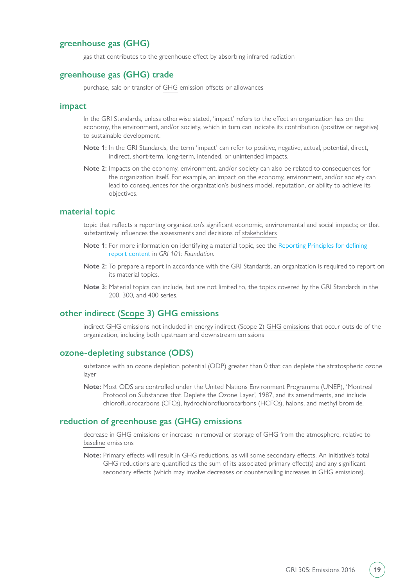#### <span id="page-18-2"></span>**greenhouse gas (GHG)**

gas that contributes to the greenhouse effect by absorbing infrared radiation

#### <span id="page-18-5"></span>**greenhouse gas (GHG) trade**

purchase, sale or transfer of [GHG](#page-18-2) emission offsets or allowances

#### <span id="page-18-0"></span>**impact**

In the GRI Standards, unless otherwise stated, 'impact' refers to the effect an organization has on the economy, the environment, and/or society, which in turn can indicate its contribution (positive or negative) to [sustainable development.](https://www.globalreporting.org/standards/media/1913/gri-standards-glossary.pdf)

- **Note 1:** In the GRI Standards, the term 'impact' can refer to positive, negative, actual, potential, direct, indirect, short-term, long-term, intended, or unintended impacts.
- **Note 2:** Impacts on the economy, environment, and/or society can also be related to consequences for the organization itself. For example, an impact on the economy, environment, and/or society can lead to consequences for the organization's business model, reputation, or ability to achieve its objectives.

#### <span id="page-18-1"></span>**material topic**

[topic](https://www.globalreporting.org/standards/media/1913/gri-standards-glossary.pdf) that reflects a reporting organization's significant economic, environmental and social [impacts](#page-18-0); or that substantively influences the assessments and decisions of [stakeholders](https://www.globalreporting.org/standards/media/1913/gri-standards-glossary.pdf)

- **Note 1:** For more information on identifying a material topic, see the [Reporting Principles for defining](https://www.globalreporting.org/standards/media/1036/gri-101-foundation-2016.pdf#page=8)  [report content](https://www.globalreporting.org/standards/media/1036/gri-101-foundation-2016.pdf#page=8) in *GRI 101: Foundation*.
- **Note 2:** To prepare a report in accordance with the GRI Standards, an organization is required to report on its material topics.
- **Note 3:** Material topics can include, but are not limited to, the topics covered by the GRI Standards in the 200, 300, and 400 series.

#### <span id="page-18-4"></span>**other indirect [\(Scope](#page-19-1) 3) GHG emissions**

indirect [GHG](#page-18-2) emissions not included in [energy indirect \(Scope 2\) GHG emissions](#page-17-2) that occur outside of the organization, including both upstream and downstream emissions

#### <span id="page-18-3"></span>**ozone-depleting substance (ODS)**

substance with an ozone depletion potential (ODP) greater than 0 that can deplete the stratospheric ozone layer

**Note:** Most ODS are controlled under the United Nations Environment Programme (UNEP), 'Montreal Protocol on Substances that Deplete the Ozone Layer', 1987, and its amendments, and include chlorofluorocarbons (CFCs), hydrochlorofluorocarbons (HCFCs), halons, and methyl bromide.

#### <span id="page-18-6"></span>**reduction of greenhouse gas (GHG) emissions**

decrease in [GHG](#page-18-2) emissions or increase in removal or storage of GHG from the atmosphere, relative to [baseline](#page-17-7) emissions

**Note:** Primary effects will result in GHG reductions, as will some secondary effects. An initiative's total GHG reductions are quantified as the sum of its associated primary effect(s) and any significant secondary effects (which may involve decreases or countervailing increases in GHG emissions).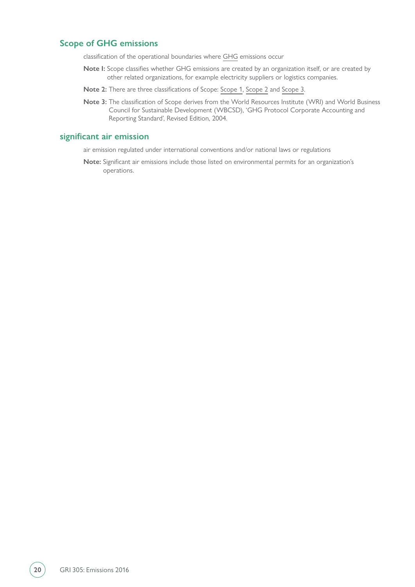#### <span id="page-19-1"></span>**Scope of GHG emissions**

classification of the operational boundaries where [GHG](#page-18-2) emissions occur

- **Note I:** Scope classifies whether GHG emissions are created by an organization itself, or are created by other related organizations, for example electricity suppliers or logistics companies.
- **Note 2:** There are three classifications of Scope: [Scope 1](#page-17-1), [Scope 2](#page-17-2) and [Scope 3](#page-18-4).
- **Note 3:** The classification of Scope derives from the World Resources Institute (WRI) and World Business Council for Sustainable Development (WBCSD), 'GHG Protocol Corporate Accounting and Reporting Standard', Revised Edition, 2004.

#### <span id="page-19-0"></span>**significant air emission**

air emission regulated under international conventions and/or national laws or regulations

**Note:** Significant air emissions include those listed on environmental permits for an organization's operations.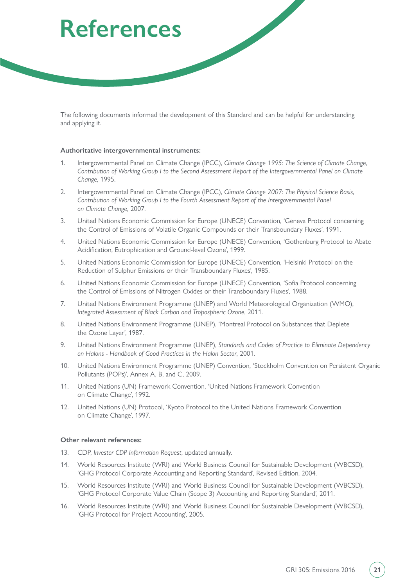# <span id="page-20-0"></span>**References**

The following documents informed the development of this Standard and can be helpful for understanding and applying it.

#### **Authoritative intergovernmental instruments:**

- 1. Intergovernmental Panel on Climate Change (IPCC), *Climate Change 1995: The Science of Climate Change, Contribution of Working Group I to the Second Assessment Report of the Intergovernmental Panel on Climate Change*, 1995.
- 2. Intergovernmental Panel on Climate Change (IPCC), *Climate Change 2007: The Physical Science Basis, Contribution of Working Group I to the Fourth Assessment Report of the Intergovernmental Panel on Climate Change*, 2007.
- 3. United Nations Economic Commission for Europe (UNECE) Convention, 'Geneva Protocol concerning the Control of Emissions of Volatile Organic Compounds or their Transboundary Fluxes', 1991.
- 4. United Nations Economic Commission for Europe (UNECE) Convention, 'Gothenburg Protocol to Abate Acidification, Eutrophication and Ground-level Ozone', 1999.
- 5. United Nations Economic Commission for Europe (UNECE) Convention, 'Helsinki Protocol on the Reduction of Sulphur Emissions or their Transboundary Fluxes', 1985.
- 6. United Nations Economic Commission for Europe (UNECE) Convention, 'Sofia Protocol concerning the Control of Emissions of Nitrogen Oxides or their Transboundary Fluxes', 1988.
- 7. United Nations Environment Programme (UNEP) and World Meteorological Organization (WMO), *Integrated Assessment of Black Carbon and Tropospheric Ozone*, 2011.
- 8. United Nations Environment Programme (UNEP), 'Montreal Protocol on Substances that Deplete the Ozone Layer', 1987.
- 9. United Nations Environment Programme (UNEP), *Standards and Codes of Practice to Eliminate Dependency on Halons - Handbook of Good Practices in the Halon Sector*, 2001.
- 10. United Nations Environment Programme (UNEP) Convention, 'Stockholm Convention on Persistent Organic Pollutants (POPs)', Annex A, B, and C, 2009.
- 11. United Nations (UN) Framework Convention, 'United Nations Framework Convention on Climate Change', 1992.
- 12. United Nations (UN) Protocol, 'Kyoto Protocol to the United Nations Framework Convention on Climate Change', 1997.

#### **Other relevant references:**

- 13. CDP, *Investor CDP Information Request*, updated annually.
- 14. World Resources Institute (WRI) and World Business Council for Sustainable Development (WBCSD), 'GHG Protocol Corporate Accounting and Reporting Standard', Revised Edition, 2004.
- 15. World Resources Institute (WRI) and World Business Council for Sustainable Development (WBCSD), 'GHG Protocol Corporate Value Chain (Scope 3) Accounting and Reporting Standard', 2011.
- 16. World Resources Institute (WRI) and World Business Council for Sustainable Development (WBCSD), 'GHG Protocol for Project Accounting', 2005.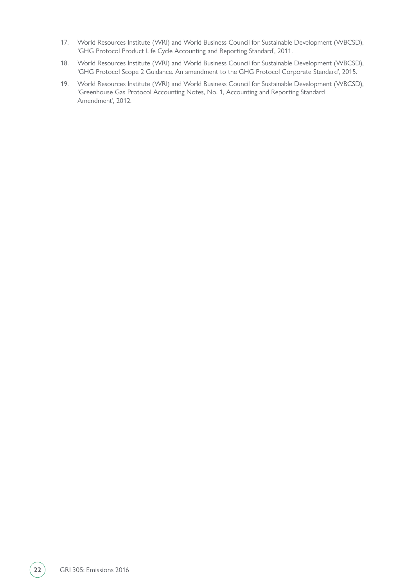- 17. World Resources Institute (WRI) and World Business Council for Sustainable Development (WBCSD), 'GHG Protocol Product Life Cycle Accounting and Reporting Standard', 2011.
- 18. World Resources Institute (WRI) and World Business Council for Sustainable Development (WBCSD), 'GHG Protocol Scope 2 Guidance. An amendment to the GHG Protocol Corporate Standard', 2015.
- 19. World Resources Institute (WRI) and World Business Council for Sustainable Development (WBCSD), 'Greenhouse Gas Protocol Accounting Notes, No. 1, Accounting and Reporting Standard Amendment', 2012.